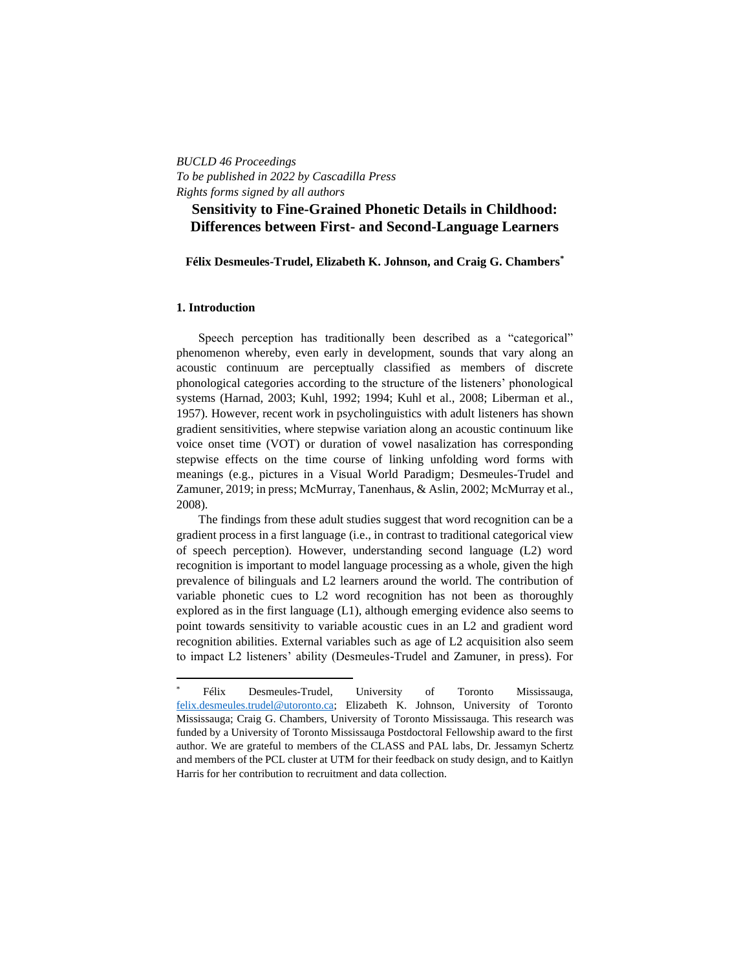## *BUCLD 46 Proceedings To be published in 2022 by Cascadilla Press Rights forms signed by all authors*

# **Sensitivity to Fine-Grained Phonetic Details in Childhood: Differences between First- and Second-Language Learners**

### **Félix Desmeules-Trudel, Elizabeth K. Johnson, and Craig G. Chambers\***

### **1. Introduction**

Speech perception has traditionally been described as a "categorical" phenomenon whereby, even early in development, sounds that vary along an acoustic continuum are perceptually classified as members of discrete phonological categories according to the structure of the listeners' phonological systems (Harnad, 2003; Kuhl, 1992; 1994; Kuhl et al., 2008; Liberman et al., 1957). However, recent work in psycholinguistics with adult listeners has shown gradient sensitivities, where stepwise variation along an acoustic continuum like voice onset time (VOT) or duration of vowel nasalization has corresponding stepwise effects on the time course of linking unfolding word forms with meanings (e.g., pictures in a Visual World Paradigm; Desmeules-Trudel and Zamuner, 2019; in press; McMurray, Tanenhaus, & Aslin, 2002; McMurray et al., 2008).

The findings from these adult studies suggest that word recognition can be a gradient process in a first language (i.e., in contrast to traditional categorical view of speech perception). However, understanding second language (L2) word recognition is important to model language processing as a whole, given the high prevalence of bilinguals and L2 learners around the world. The contribution of variable phonetic cues to L2 word recognition has not been as thoroughly explored as in the first language (L1), although emerging evidence also seems to point towards sensitivity to variable acoustic cues in an L2 and gradient word recognition abilities. External variables such as age of L2 acquisition also seem to impact L2 listeners' ability (Desmeules-Trudel and Zamuner, in press). For

Félix Desmeules-Trudel, University of Toronto Mississauga, [felix.desmeules.trudel@utoronto.ca;](mailto:felix.desmeules.trudel@utoronto.ca) Elizabeth K. Johnson, University of Toronto Mississauga; Craig G. Chambers, University of Toronto Mississauga. This research was funded by a University of Toronto Mississauga Postdoctoral Fellowship award to the first author. We are grateful to members of the CLASS and PAL labs, Dr. Jessamyn Schertz and members of the PCL cluster at UTM for their feedback on study design, and to Kaitlyn Harris for her contribution to recruitment and data collection.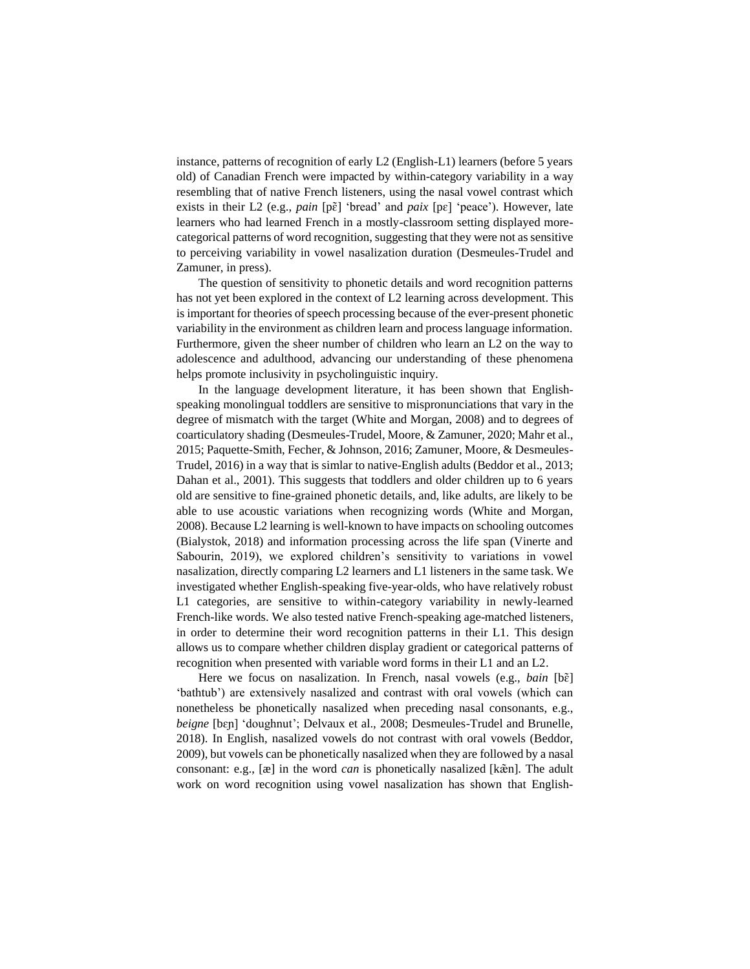instance, patterns of recognition of early L2 (English-L1) learners (before 5 years old) of Canadian French were impacted by within-category variability in a way resembling that of native French listeners, using the nasal vowel contrast which exists in their L2 (e.g., *pain* [pɛ̃] 'bread' and *paix* [pɛ] 'peace'). However, late learners who had learned French in a mostly-classroom setting displayed morecategorical patterns of word recognition, suggesting that they were not as sensitive to perceiving variability in vowel nasalization duration (Desmeules-Trudel and Zamuner, in press).

The question of sensitivity to phonetic details and word recognition patterns has not yet been explored in the context of L2 learning across development. This is important for theories of speech processing because of the ever-present phonetic variability in the environment as children learn and process language information. Furthermore, given the sheer number of children who learn an L2 on the way to adolescence and adulthood, advancing our understanding of these phenomena helps promote inclusivity in psycholinguistic inquiry.

In the language development literature, it has been shown that Englishspeaking monolingual toddlers are sensitive to mispronunciations that vary in the degree of mismatch with the target (White and Morgan, 2008) and to degrees of coarticulatory shading (Desmeules-Trudel, Moore, & Zamuner, 2020; Mahr et al., 2015; Paquette-Smith, Fecher, & Johnson, 2016; Zamuner, Moore, & Desmeules-Trudel, 2016) in a way that is simlar to native-English adults (Beddor et al., 2013; Dahan et al., 2001). This suggests that toddlers and older children up to 6 years old are sensitive to fine-grained phonetic details, and, like adults, are likely to be able to use acoustic variations when recognizing words (White and Morgan, 2008). Because L2 learning is well-known to have impacts on schooling outcomes (Bialystok, 2018) and information processing across the life span (Vinerte and Sabourin, 2019), we explored children's sensitivity to variations in vowel nasalization, directly comparing L2 learners and L1 listeners in the same task. We investigated whether English-speaking five-year-olds, who have relatively robust L1 categories, are sensitive to within-category variability in newly-learned French-like words. We also tested native French-speaking age-matched listeners, in order to determine their word recognition patterns in their L1. This design allows us to compare whether children display gradient or categorical patterns of recognition when presented with variable word forms in their L1 and an L2.

Here we focus on nasalization. In French, nasal vowels (e.g., *bain* [bɛ̃] 'bathtub') are extensively nasalized and contrast with oral vowels (which can nonetheless be phonetically nasalized when preceding nasal consonants, e.g., *beigne* [bɛɲ] 'doughnut'; Delvaux et al., 2008; Desmeules-Trudel and Brunelle, 2018). In English, nasalized vowels do not contrast with oral vowels (Beddor, 2009), but vowels can be phonetically nasalized when they are followed by a nasal consonant: e.g., [æ] in the word *can* is phonetically nasalized [kæ̃n]. The adult work on word recognition using vowel nasalization has shown that English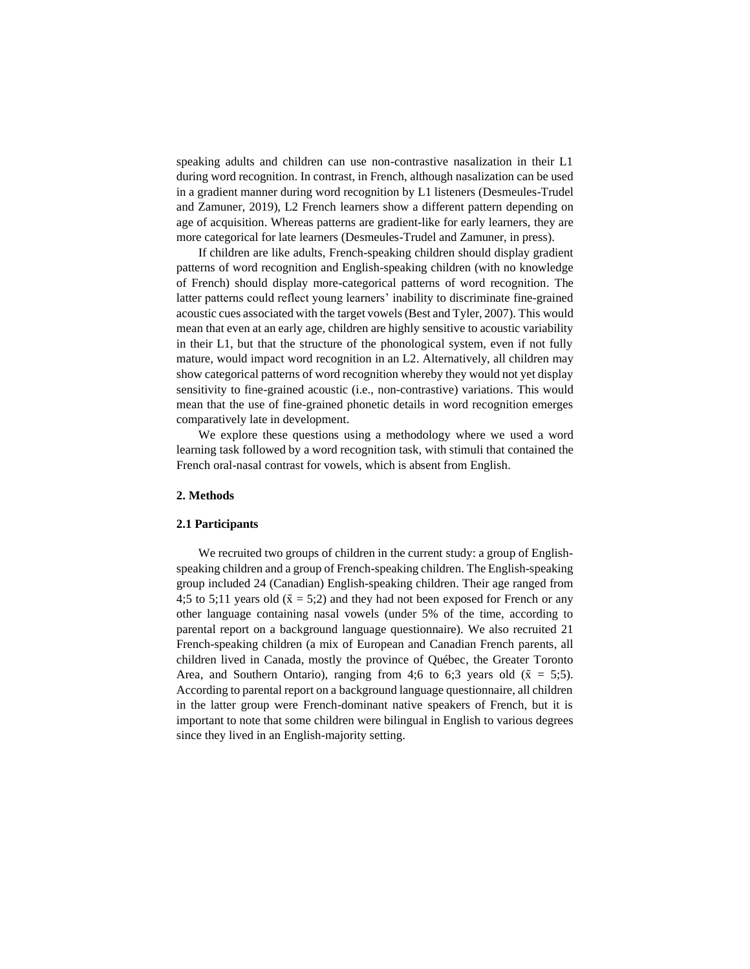speaking adults and children can use non-contrastive nasalization in their L1 during word recognition. In contrast, in French, although nasalization can be used in a gradient manner during word recognition by L1 listeners (Desmeules-Trudel and Zamuner, 2019), L2 French learners show a different pattern depending on age of acquisition. Whereas patterns are gradient-like for early learners, they are more categorical for late learners (Desmeules-Trudel and Zamuner, in press).

If children are like adults, French-speaking children should display gradient patterns of word recognition and English-speaking children (with no knowledge of French) should display more-categorical patterns of word recognition. The latter patterns could reflect young learners' inability to discriminate fine-grained acoustic cues associated with the target vowels (Best and Tyler, 2007). This would mean that even at an early age, children are highly sensitive to acoustic variability in their L1, but that the structure of the phonological system, even if not fully mature, would impact word recognition in an L2. Alternatively, all children may show categorical patterns of word recognition whereby they would not yet display sensitivity to fine-grained acoustic (i.e., non-contrastive) variations. This would mean that the use of fine-grained phonetic details in word recognition emerges comparatively late in development.

We explore these questions using a methodology where we used a word learning task followed by a word recognition task, with stimuli that contained the French oral-nasal contrast for vowels, which is absent from English.

### **2. Methods**

### **2.1 Participants**

We recruited two groups of children in the current study: a group of Englishspeaking children and a group of French-speaking children. The English-speaking group included 24 (Canadian) English-speaking children. Their age ranged from 4;5 to 5;11 years old ( $\bar{x} = 5$ ;2) and they had not been exposed for French or any other language containing nasal vowels (under 5% of the time, according to parental report on a background language questionnaire). We also recruited 21 French-speaking children (a mix of European and Canadian French parents, all children lived in Canada, mostly the province of Québec, the Greater Toronto Area, and Southern Ontario), ranging from 4;6 to 6;3 years old  $(\bar{x} = 5;5)$ . According to parental report on a background language questionnaire, all children in the latter group were French-dominant native speakers of French, but it is important to note that some children were bilingual in English to various degrees since they lived in an English-majority setting.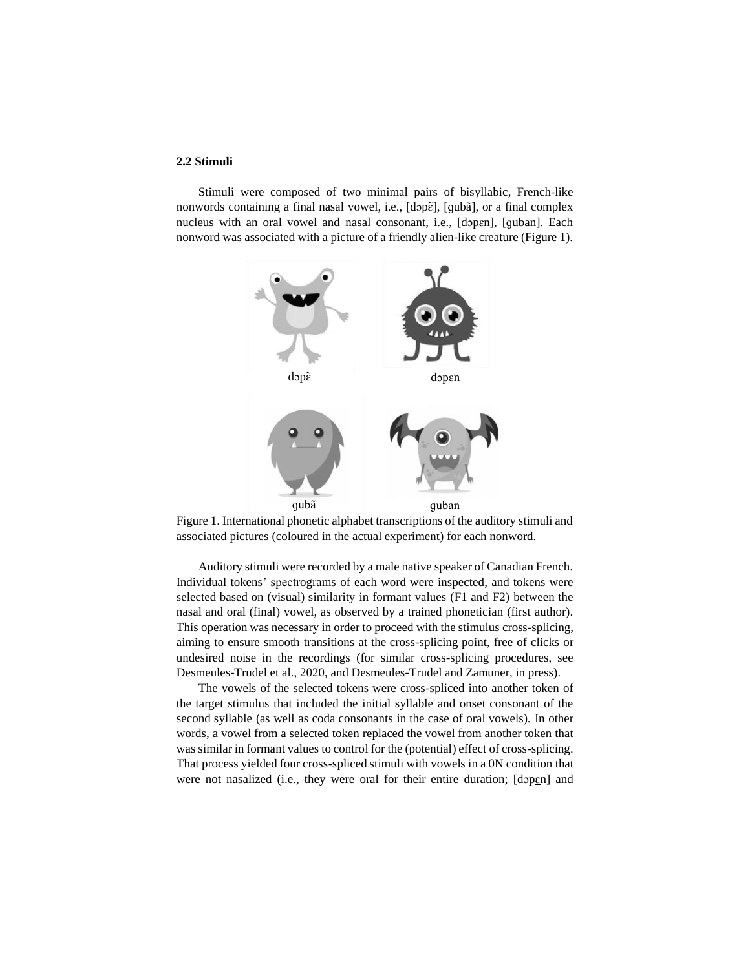### **2.2 Stimuli**

Stimuli were composed of two minimal pairs of bisyllabic, French-like nonwords containing a final nasal vowel, i.e., [dɔpɛ̃], [ɡubã], or a final complex nucleus with an oral vowel and nasal consonant, i.e., [dɔpɛn], [ɡuban]. Each nonword was associated with a picture of a friendly alien-like creature (Figure 1).



Figure 1. International phonetic alphabet transcriptions of the auditory stimuli and associated pictures (coloured in the actual experiment) for each nonword.

Auditory stimuli were recorded by a male native speaker of Canadian French. Individual tokens' spectrograms of each word were inspected, and tokens were selected based on (visual) similarity in formant values (F1 and F2) between the nasal and oral (final) vowel, as observed by a trained phonetician (first author). This operation was necessary in order to proceed with the stimulus cross-splicing, aiming to ensure smooth transitions at the cross-splicing point, free of clicks or undesired noise in the recordings (for similar cross-splicing procedures, see Desmeules-Trudel et al., 2020, and Desmeules-Trudel and Zamuner, in press).

The vowels of the selected tokens were cross-spliced into another token of the target stimulus that included the initial syllable and onset consonant of the second syllable (as well as coda consonants in the case of oral vowels). In other words, a vowel from a selected token replaced the vowel from another token that was similar in formant values to control for the (potential) effect of cross-splicing. That process yielded four cross-spliced stimuli with vowels in a 0N condition that were not nasalized (i.e., they were oral for their entire duration; [dopen] and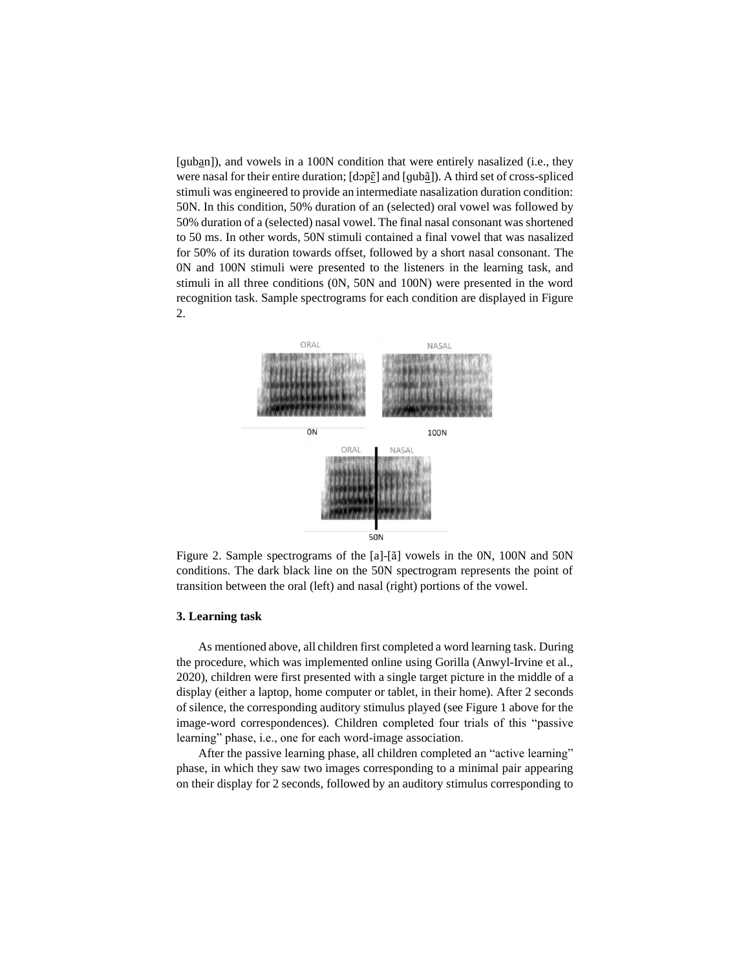[quban]), and vowels in a 100N condition that were entirely nasalized (i.e., they were nasal for their entire duration;  $\left[\text{dop}\right]$  and  $\left[\text{qub}\right]$ ). A third set of cross-spliced stimuli was engineered to provide an intermediate nasalization duration condition: 50N. In this condition, 50% duration of an (selected) oral vowel was followed by 50% duration of a (selected) nasal vowel. The final nasal consonant was shortened to 50 ms. In other words, 50N stimuli contained a final vowel that was nasalized for 50% of its duration towards offset, followed by a short nasal consonant. The 0N and 100N stimuli were presented to the listeners in the learning task, and stimuli in all three conditions (0N, 50N and 100N) were presented in the word recognition task. Sample spectrograms for each condition are displayed in Figure 2.



Figure 2. Sample spectrograms of the [a]-[ã] vowels in the 0N, 100N and 50N conditions. The dark black line on the 50N spectrogram represents the point of transition between the oral (left) and nasal (right) portions of the vowel.

#### **3. Learning task**

As mentioned above, all children first completed a word learning task. During the procedure, which was implemented online using Gorilla (Anwyl-Irvine et al., 2020), children were first presented with a single target picture in the middle of a display (either a laptop, home computer or tablet, in their home). After 2 seconds of silence, the corresponding auditory stimulus played (see Figure 1 above for the image-word correspondences). Children completed four trials of this "passive learning" phase, i.e., one for each word-image association.

After the passive learning phase, all children completed an "active learning" phase, in which they saw two images corresponding to a minimal pair appearing on their display for 2 seconds, followed by an auditory stimulus corresponding to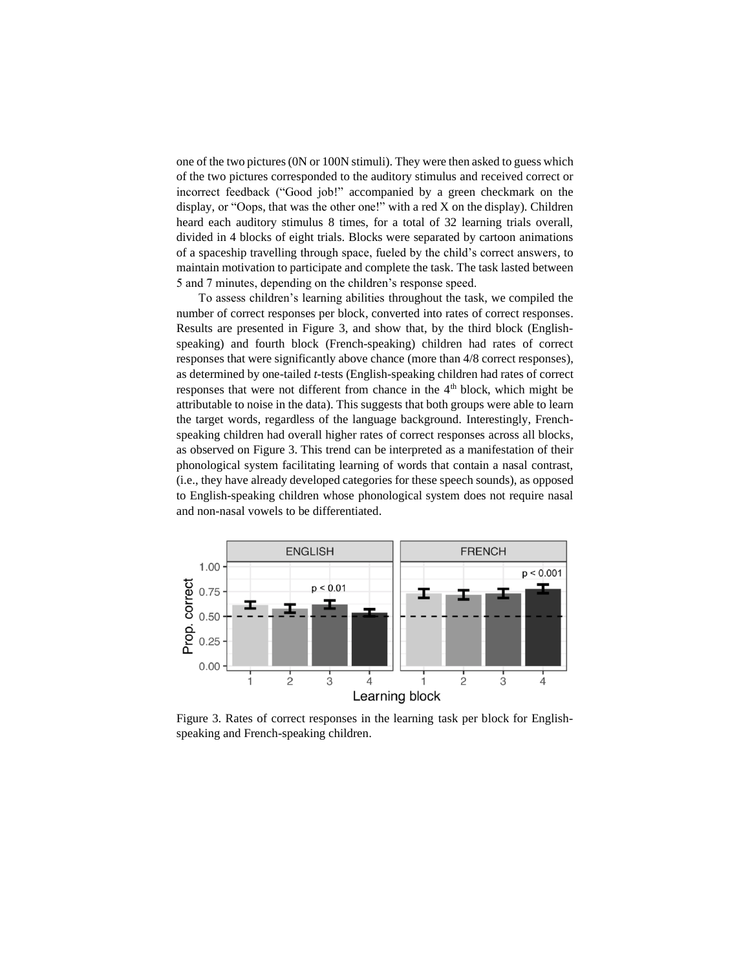one of the two pictures(0N or 100N stimuli). They were then asked to guess which of the two pictures corresponded to the auditory stimulus and received correct or incorrect feedback ("Good job!" accompanied by a green checkmark on the display, or "Oops, that was the other one!" with a red X on the display). Children heard each auditory stimulus 8 times, for a total of 32 learning trials overall, divided in 4 blocks of eight trials. Blocks were separated by cartoon animations of a spaceship travelling through space, fueled by the child's correct answers, to maintain motivation to participate and complete the task. The task lasted between 5 and 7 minutes, depending on the children's response speed.

To assess children's learning abilities throughout the task, we compiled the number of correct responses per block, converted into rates of correct responses. Results are presented in Figure 3, and show that, by the third block (Englishspeaking) and fourth block (French-speaking) children had rates of correct responses that were significantly above chance (more than 4/8 correct responses), as determined by one-tailed *t*-tests (English-speaking children had rates of correct responses that were not different from chance in the  $4<sup>th</sup>$  block, which might be attributable to noise in the data). This suggests that both groups were able to learn the target words, regardless of the language background. Interestingly, Frenchspeaking children had overall higher rates of correct responses across all blocks, as observed on Figure 3. This trend can be interpreted as a manifestation of their phonological system facilitating learning of words that contain a nasal contrast, (i.e., they have already developed categories for these speech sounds), as opposed to English-speaking children whose phonological system does not require nasal and non-nasal vowels to be differentiated.



Figure 3. Rates of correct responses in the learning task per block for Englishspeaking and French-speaking children.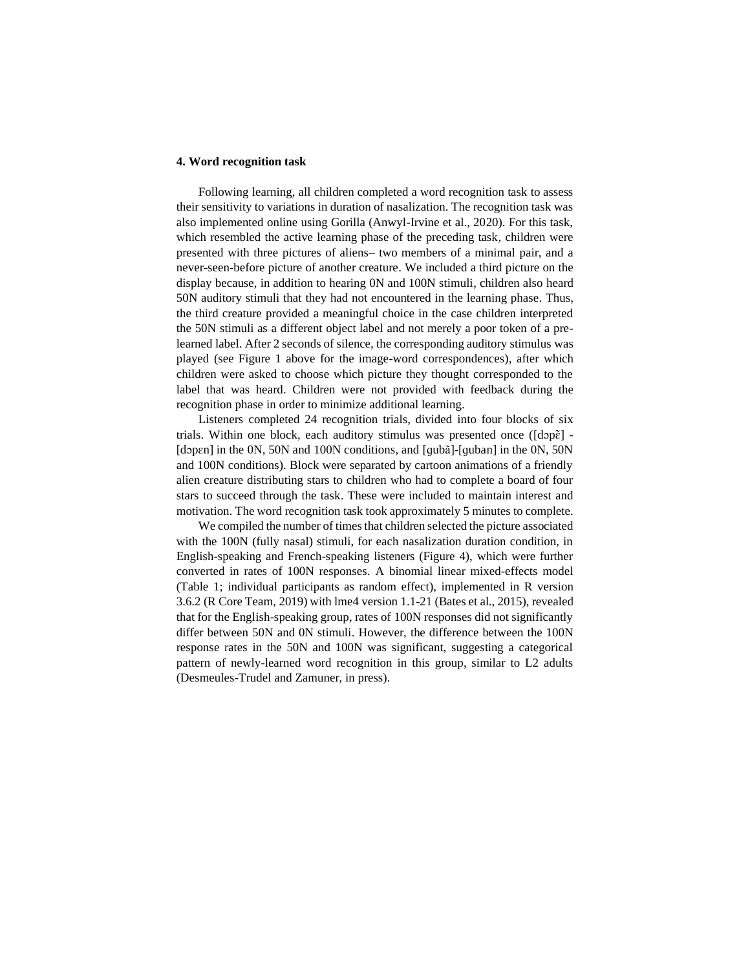### **4. Word recognition task**

Following learning, all children completed a word recognition task to assess their sensitivity to variations in duration of nasalization. The recognition task was also implemented online using Gorilla (Anwyl-Irvine et al., 2020). For this task, which resembled the active learning phase of the preceding task, children were presented with three pictures of aliens– two members of a minimal pair, and a never-seen-before picture of another creature. We included a third picture on the display because, in addition to hearing 0N and 100N stimuli, children also heard 50N auditory stimuli that they had not encountered in the learning phase. Thus, the third creature provided a meaningful choice in the case children interpreted the 50N stimuli as a different object label and not merely a poor token of a prelearned label. After 2 seconds of silence, the corresponding auditory stimulus was played (see Figure 1 above for the image-word correspondences), after which children were asked to choose which picture they thought corresponded to the label that was heard. Children were not provided with feedback during the recognition phase in order to minimize additional learning.

Listeners completed 24 recognition trials, divided into four blocks of six trials. Within one block, each auditory stimulus was presented once ( $[d$ op $\tilde{\epsilon}]$  -[dɔpɛn] in the 0N, 50N and 100N conditions, and [ɡubã]-[ɡuban] in the 0N, 50N and 100N conditions). Block were separated by cartoon animations of a friendly alien creature distributing stars to children who had to complete a board of four stars to succeed through the task. These were included to maintain interest and motivation. The word recognition task took approximately 5 minutes to complete.

We compiled the number of times that children selected the picture associated with the 100N (fully nasal) stimuli, for each nasalization duration condition, in English-speaking and French-speaking listeners (Figure 4), which were further converted in rates of 100N responses. A binomial linear mixed-effects model (Table 1; individual participants as random effect), implemented in R version 3.6.2 (R Core Team, 2019) with lme4 version 1.1-21 (Bates et al., 2015), revealed that for the English-speaking group, rates of 100N responses did not significantly differ between 50N and 0N stimuli. However, the difference between the 100N response rates in the 50N and 100N was significant, suggesting a categorical pattern of newly-learned word recognition in this group, similar to L2 adults (Desmeules-Trudel and Zamuner, in press).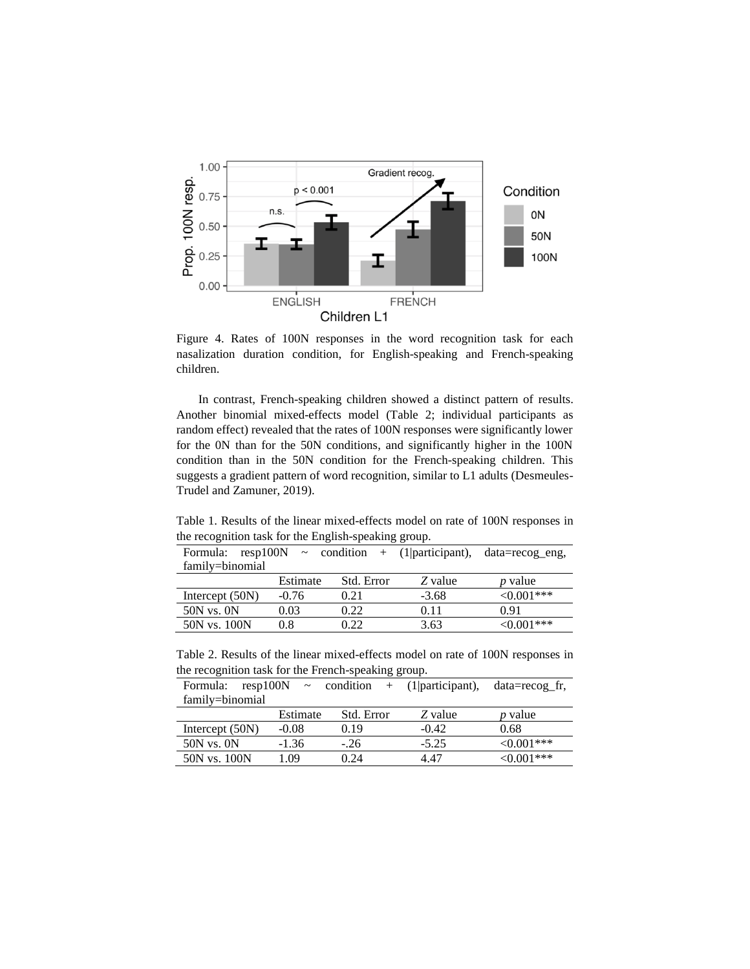

Figure 4. Rates of 100N responses in the word recognition task for each nasalization duration condition, for English-speaking and French-speaking children.

In contrast, French-speaking children showed a distinct pattern of results. Another binomial mixed-effects model (Table 2; individual participants as random effect) revealed that the rates of 100N responses were significantly lower for the 0N than for the 50N conditions, and significantly higher in the 100N condition than in the 50N condition for the French-speaking children. This suggests a gradient pattern of word recognition, similar to L1 adults (Desmeules-Trudel and Zamuner, 2019).

Table 1. Results of the linear mixed-effects model on rate of 100N responses in the recognition task for the English-speaking group.

|                   |          |            |         | Formula: $resp100N \sim condition + (1 participant)$ , $data=recog_eng$ , |  |  |  |
|-------------------|----------|------------|---------|---------------------------------------------------------------------------|--|--|--|
| family=binomial   |          |            |         |                                                                           |  |  |  |
|                   | Estimate | Std. Error | Z value | <i>p</i> value                                                            |  |  |  |
| Intercept $(50N)$ | $-0.76$  | 0.21       | $-3.68$ | ${<}0.001***$                                                             |  |  |  |
| $50N$ vs. $0N$    | 0.03     | 0.22       | 0.11    | 0.91                                                                      |  |  |  |
| 50N vs. 100N      | 0.8      | 0.22       | 3.63    | $< 0.001$ ***                                                             |  |  |  |

Table 2. Results of the linear mixed-effects model on rate of 100N responses in the recognition task for the French-speaking group.

| Formula:          |          |            | resp100N $\sim$ condition + (1 participant), | data=recog fr,   |  |  |  |
|-------------------|----------|------------|----------------------------------------------|------------------|--|--|--|
| family=binomial   |          |            |                                              |                  |  |  |  |
|                   | Estimate | Std. Error | Z value                                      | <i>p</i> value   |  |  |  |
| Intercept $(50N)$ | $-0.08$  | 0.19       | $-0.42$                                      | 0.68             |  |  |  |
| $50N$ vs. $0N$    | $-1.36$  | $-.26$     | $-5.25$                                      | ${<}0.001***$    |  |  |  |
| 50N vs. 100N      | 1.09     | በ 24       | 4 47                                         | $\leq 0.001$ *** |  |  |  |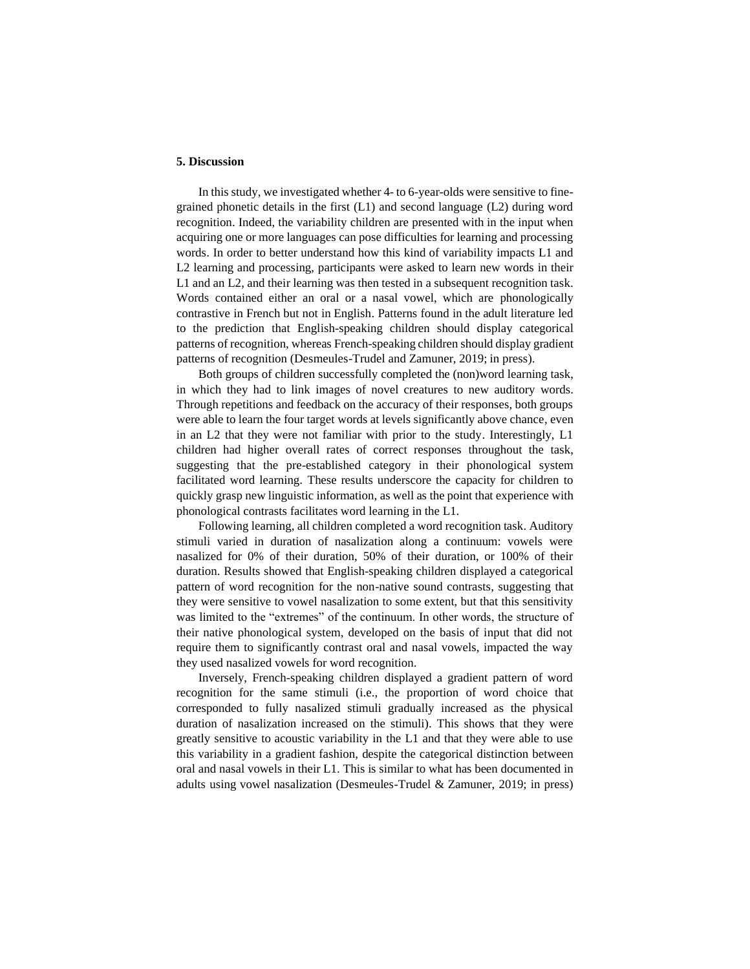### **5. Discussion**

In this study, we investigated whether 4- to 6-year-olds were sensitive to finegrained phonetic details in the first  $(L1)$  and second language  $(L2)$  during word recognition. Indeed, the variability children are presented with in the input when acquiring one or more languages can pose difficulties for learning and processing words. In order to better understand how this kind of variability impacts L1 and L2 learning and processing, participants were asked to learn new words in their L1 and an L2, and their learning was then tested in a subsequent recognition task. Words contained either an oral or a nasal vowel, which are phonologically contrastive in French but not in English. Patterns found in the adult literature led to the prediction that English-speaking children should display categorical patterns of recognition, whereas French-speaking children should display gradient patterns of recognition (Desmeules-Trudel and Zamuner, 2019; in press).

Both groups of children successfully completed the (non)word learning task, in which they had to link images of novel creatures to new auditory words. Through repetitions and feedback on the accuracy of their responses, both groups were able to learn the four target words at levels significantly above chance, even in an L2 that they were not familiar with prior to the study. Interestingly, L1 children had higher overall rates of correct responses throughout the task, suggesting that the pre-established category in their phonological system facilitated word learning. These results underscore the capacity for children to quickly grasp new linguistic information, as well as the point that experience with phonological contrasts facilitates word learning in the L1.

Following learning, all children completed a word recognition task. Auditory stimuli varied in duration of nasalization along a continuum: vowels were nasalized for 0% of their duration, 50% of their duration, or 100% of their duration. Results showed that English-speaking children displayed a categorical pattern of word recognition for the non-native sound contrasts, suggesting that they were sensitive to vowel nasalization to some extent, but that this sensitivity was limited to the "extremes" of the continuum. In other words, the structure of their native phonological system, developed on the basis of input that did not require them to significantly contrast oral and nasal vowels, impacted the way they used nasalized vowels for word recognition.

Inversely, French-speaking children displayed a gradient pattern of word recognition for the same stimuli (i.e., the proportion of word choice that corresponded to fully nasalized stimuli gradually increased as the physical duration of nasalization increased on the stimuli). This shows that they were greatly sensitive to acoustic variability in the L1 and that they were able to use this variability in a gradient fashion, despite the categorical distinction between oral and nasal vowels in their L1. This is similar to what has been documented in adults using vowel nasalization (Desmeules-Trudel & Zamuner, 2019; in press)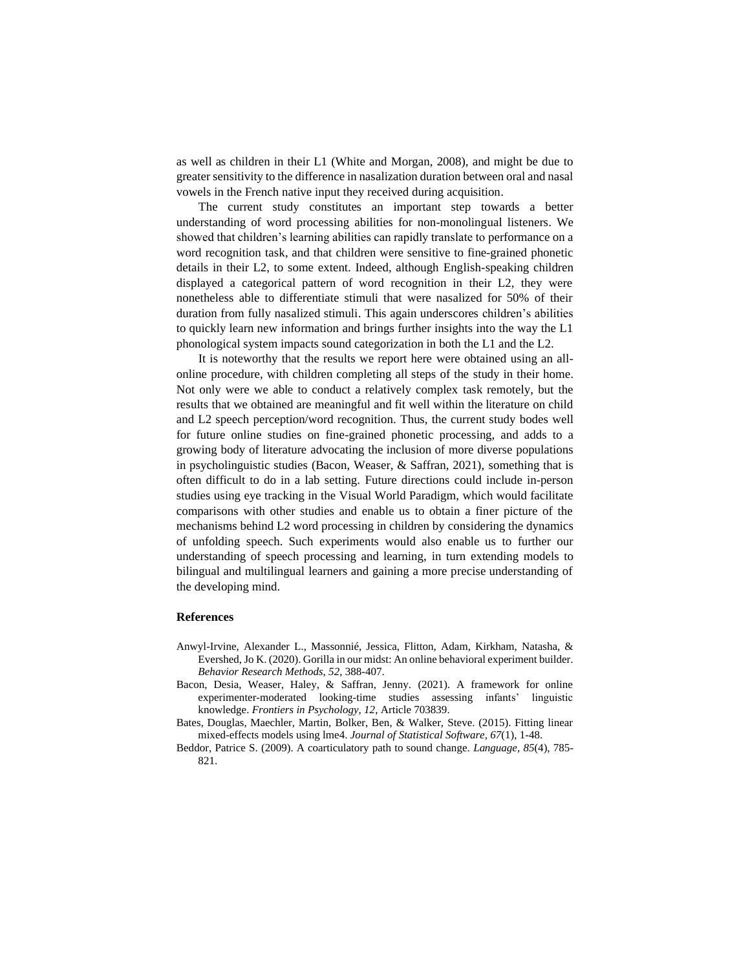as well as children in their L1 (White and Morgan, 2008), and might be due to greater sensitivity to the difference in nasalization duration between oral and nasal vowels in the French native input they received during acquisition.

The current study constitutes an important step towards a better understanding of word processing abilities for non-monolingual listeners. We showed that children's learning abilities can rapidly translate to performance on a word recognition task, and that children were sensitive to fine-grained phonetic details in their L2, to some extent. Indeed, although English-speaking children displayed a categorical pattern of word recognition in their L2, they were nonetheless able to differentiate stimuli that were nasalized for 50% of their duration from fully nasalized stimuli. This again underscores children's abilities to quickly learn new information and brings further insights into the way the L1 phonological system impacts sound categorization in both the L1 and the L2.

It is noteworthy that the results we report here were obtained using an allonline procedure, with children completing all steps of the study in their home. Not only were we able to conduct a relatively complex task remotely, but the results that we obtained are meaningful and fit well within the literature on child and L2 speech perception/word recognition. Thus, the current study bodes well for future online studies on fine-grained phonetic processing, and adds to a growing body of literature advocating the inclusion of more diverse populations in psycholinguistic studies (Bacon, Weaser, & Saffran, 2021), something that is often difficult to do in a lab setting. Future directions could include in-person studies using eye tracking in the Visual World Paradigm, which would facilitate comparisons with other studies and enable us to obtain a finer picture of the mechanisms behind L2 word processing in children by considering the dynamics of unfolding speech. Such experiments would also enable us to further our understanding of speech processing and learning, in turn extending models to bilingual and multilingual learners and gaining a more precise understanding of the developing mind.

### **References**

- Anwyl-Irvine, Alexander L., Massonnié, Jessica, Flitton, Adam, Kirkham, Natasha, & Evershed, Jo K. (2020). Gorilla in our midst: An online behavioral experiment builder. *Behavior Research Methods*, *52*, 388-407.
- Bacon, Desia, Weaser, Haley, & Saffran, Jenny. (2021). A framework for online experimenter-moderated looking-time studies assessing infants' linguistic knowledge. *Frontiers in Psychology*, *12*, Article 703839.
- Bates, Douglas, Maechler, Martin, Bolker, Ben, & Walker, Steve. (2015). Fitting linear mixed-effects models using lme4. *Journal of Statistical Software*, *67*(1), 1-48.
- Beddor, Patrice S. (2009). A coarticulatory path to sound change. *Language*, *85*(4), 785- 821.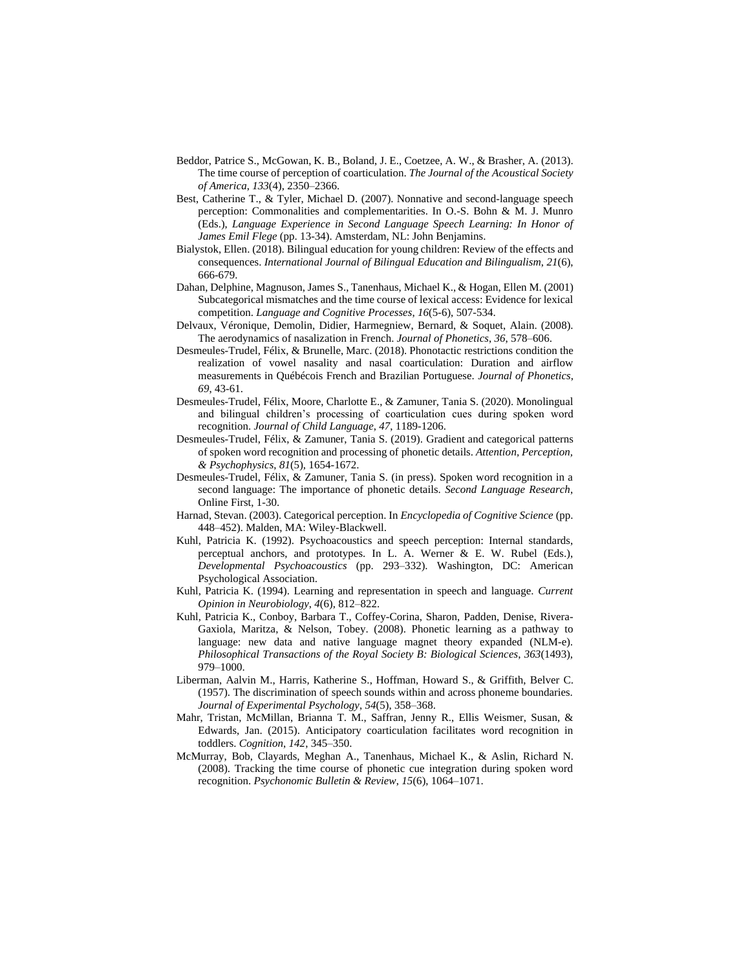- Beddor, Patrice S., McGowan, K. B., Boland, J. E., Coetzee, A. W., & Brasher, A. (2013). The time course of perception of coarticulation. *The Journal of the Acoustical Society of America*, *133*(4), 2350–2366.
- Best, Catherine T., & Tyler, Michael D. (2007). Nonnative and second-language speech perception: Commonalities and complementarities. In O.-S. Bohn & M. J. Munro (Eds.), *Language Experience in Second Language Speech Learning: In Honor of James Emil Flege* (pp. 13-34). Amsterdam, NL: John Benjamins.
- Bialystok, Ellen. (2018). Bilingual education for young children: Review of the effects and consequences. *International Journal of Bilingual Education and Bilingualism*, *21*(6), 666-679.
- Dahan, Delphine, Magnuson, James S., Tanenhaus, Michael K., & Hogan, Ellen M. (2001) Subcategorical mismatches and the time course of lexical access: Evidence for lexical competition. *Language and Cognitive Processes*, *16*(5-6), 507-534.
- Delvaux, Véronique, Demolin, Didier, Harmegniew, Bernard, & Soquet, Alain. (2008). The aerodynamics of nasalization in French. *Journal of Phonetics*, *36*, 578–606.
- Desmeules-Trudel, Félix, & Brunelle, Marc. (2018). Phonotactic restrictions condition the realization of vowel nasality and nasal coarticulation: Duration and airflow measurements in Québécois French and Brazilian Portuguese. *Journal of Phonetics*, *69*, 43-61.
- Desmeules-Trudel, Félix, Moore, Charlotte E., & Zamuner, Tania S. (2020). Monolingual and bilingual children's processing of coarticulation cues during spoken word recognition. *Journal of Child Language*, *47*, 1189-1206.
- Desmeules-Trudel, Félix, & Zamuner, Tania S. (2019). Gradient and categorical patterns of spoken word recognition and processing of phonetic details. *Attention, Perception, & Psychophysics*, *81*(5), 1654-1672.
- Desmeules-Trudel, Félix, & Zamuner, Tania S. (in press). Spoken word recognition in a second language: The importance of phonetic details. *Second Language Research*, Online First, 1-30.
- Harnad, Stevan. (2003). Categorical perception. In *Encyclopedia of Cognitive Science* (pp. 448–452). Malden, MA: Wiley-Blackwell.
- Kuhl, Patricia K. (1992). Psychoacoustics and speech perception: Internal standards, perceptual anchors, and prototypes. In L. A. Werner & E. W. Rubel (Eds.), *Developmental Psychoacoustics* (pp. 293–332). Washington, DC: American Psychological Association.
- Kuhl, Patricia K. (1994). Learning and representation in speech and language. *Current Opinion in Neurobiology*, *4*(6), 812–822.
- Kuhl, Patricia K., Conboy, Barbara T., Coffey-Corina, Sharon, Padden, Denise, Rivera-Gaxiola, Maritza, & Nelson, Tobey. (2008). Phonetic learning as a pathway to language: new data and native language magnet theory expanded (NLM-e). *Philosophical Transactions of the Royal Society B: Biological Sciences*, *363*(1493), 979–1000.
- Liberman, Aalvin M., Harris, Katherine S., Hoffman, Howard S., & Griffith, Belver C. (1957). The discrimination of speech sounds within and across phoneme boundaries. *Journal of Experimental Psychology*, *54*(5), 358–368.
- Mahr, Tristan, McMillan, Brianna T. M., Saffran, Jenny R., Ellis Weismer, Susan, & Edwards, Jan. (2015). Anticipatory coarticulation facilitates word recognition in toddlers. *Cognition*, *142*, 345–350.
- McMurray, Bob, Clayards, Meghan A., Tanenhaus, Michael K., & Aslin, Richard N. (2008). Tracking the time course of phonetic cue integration during spoken word recognition. *Psychonomic Bulletin & Review*, *15*(6), 1064–1071.